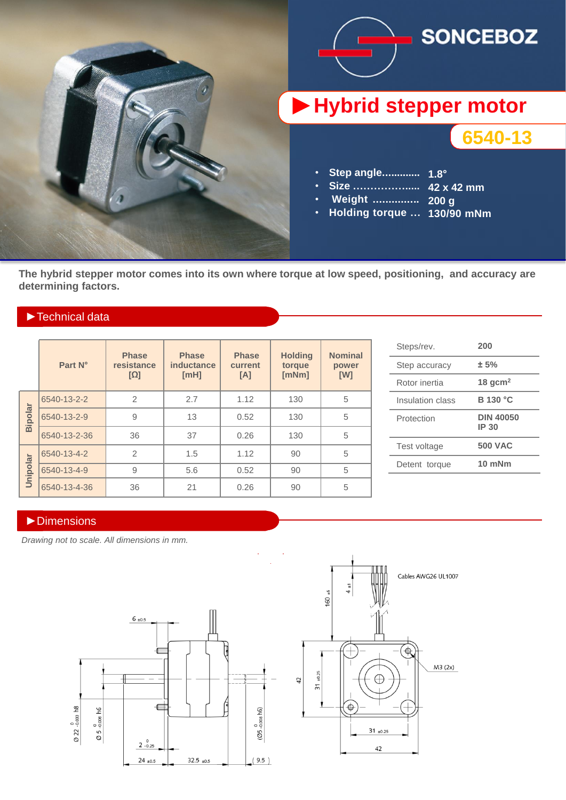

**The hybrid stepper motor comes into its own where torque at low speed, positioning, and accuracy are determining factors.**

## ►Technical data

|          | Part N°      | <b>Phase</b><br>resistance<br>$[\Omega]$ | <b>Phase</b><br>inductance<br>[MH] | <b>Phase</b><br>current<br>[A] | <b>Holding</b><br>torque<br>[mNm] | <b>Nominal</b><br>power<br>[W] |
|----------|--------------|------------------------------------------|------------------------------------|--------------------------------|-----------------------------------|--------------------------------|
| Bipolar  | 6540-13-2-2  | $\overline{2}$                           | 2.7                                | 1.12                           | 130                               | 5                              |
|          | 6540-13-2-9  | 9                                        | 13                                 | 0.52                           | 130                               | 5                              |
|          | 6540-13-2-36 | 36                                       | 37                                 | 0.26                           | 130                               | 5                              |
| Unipolar | 6540-13-4-2  | $\overline{2}$                           | 1.5                                | 1.12                           | 90                                | 5                              |
|          | 6540-13-4-9  | 9                                        | 5.6                                | 0.52                           | 90                                | 5                              |
|          | 6540-13-4-36 | 36                                       | 21                                 | 0.26                           | 90                                | 5                              |

| Steps/rev.       | 200                       |  |
|------------------|---------------------------|--|
| Step accuracy    | ± 5%                      |  |
| Rotor inertia    | 18 $gcm2$                 |  |
| Insulation class | <b>B</b> 130 °C           |  |
| Protection       | <b>DIN 40050</b><br>IP 30 |  |
| Test voltage     | <b>500 VAC</b>            |  |
| Detent torque    | 10 mNm                    |  |
|                  |                           |  |

### ►Dimensions

*Drawing not to scale. All dimensions in mm.*



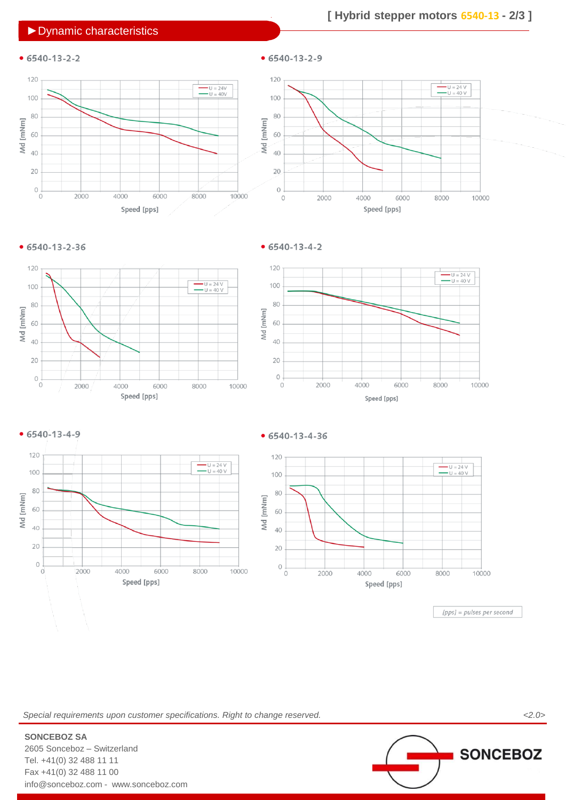## ►Dynamic characteristics

# **[ Hybrid stepper motors 6540-13 - 2/3 ]**

# $• 6540-13-2-2$





 $• 6540 - 13 - 2 - 36$ 

 $• 6540 - 13 - 4 - 2$ 

 $• 6540-13-2-9$ 











#### $• 6540 - 13 - 4 - 36$



[pps] = pulses per second

*Special requirements upon customer specifications. Right to change reserved. <2.0>*



2605 Sonceboz – Switzerland Tel. +41(0) 32 488 11 11 Fax +41(0) 32 488 11 00 info@sonceboz.com - www.sonceboz.com

**SONCEBOZ SA**